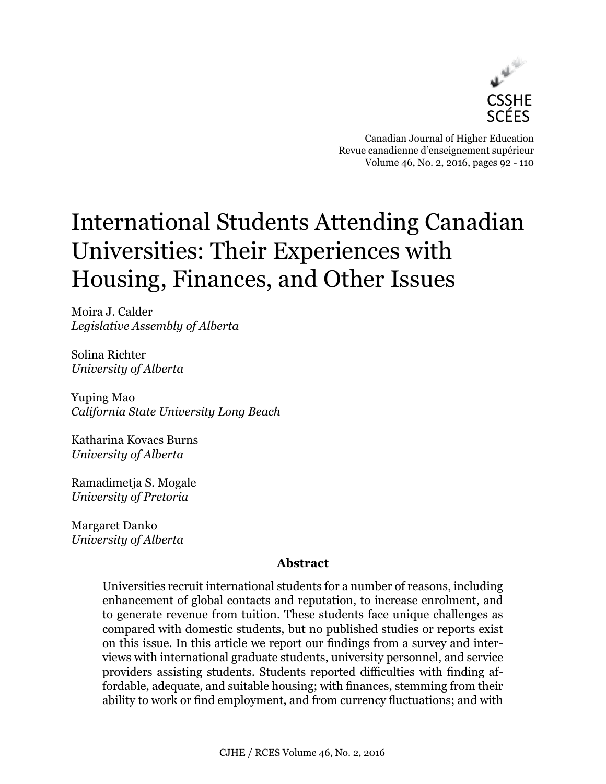

Canadian Journal of Higher Education Revue canadienne d'enseignement supérieur Volume 46, No. 2, 2016, pages 92 - 110

# International Students Attending Canadian Universities: Their Experiences with Housing, Finances, and Other Issues

Moira J. Calder *Legislative Assembly of Alberta*

Solina Richter *University of Alberta*

Yuping Mao *California State University Long Beach*

Katharina Kovacs Burns *University of Alberta*

Ramadimetja S. Mogale *University of Pretoria*

Margaret Danko *University of Alberta*

## **Abstract**

Universities recruit international students for a number of reasons, including enhancement of global contacts and reputation, to increase enrolment, and to generate revenue from tuition. These students face unique challenges as compared with domestic students, but no published studies or reports exist on this issue. In this article we report our findings from a survey and interviews with international graduate students, university personnel, and service providers assisting students. Students reported difficulties with finding affordable, adequate, and suitable housing; with finances, stemming from their ability to work or find employment, and from currency fluctuations; and with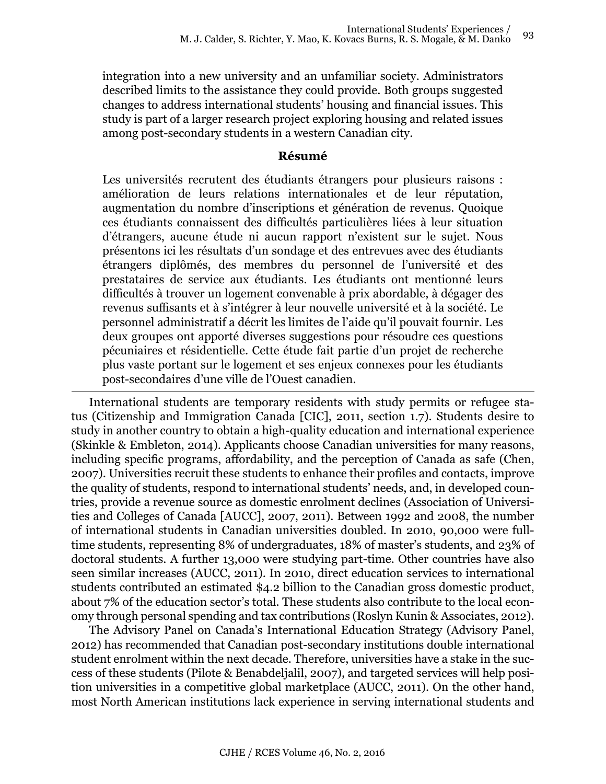integration into a new university and an unfamiliar society. Administrators described limits to the assistance they could provide. Both groups suggested changes to address international students' housing and financial issues. This study is part of a larger research project exploring housing and related issues among post-secondary students in a western Canadian city.

## **Résumé**

Les universités recrutent des étudiants étrangers pour plusieurs raisons : amélioration de leurs relations internationales et de leur réputation, augmentation du nombre d'inscriptions et génération de revenus. Quoique ces étudiants connaissent des difficultés particulières liées à leur situation d'étrangers, aucune étude ni aucun rapport n'existent sur le sujet. Nous présentons ici les résultats d'un sondage et des entrevues avec des étudiants étrangers diplômés, des membres du personnel de l'université et des prestataires de service aux étudiants. Les étudiants ont mentionné leurs difficultés à trouver un logement convenable à prix abordable, à dégager des revenus suffisants et à s'intégrer à leur nouvelle université et à la société. Le personnel administratif a décrit les limites de l'aide qu'il pouvait fournir. Les deux groupes ont apporté diverses suggestions pour résoudre ces questions pécuniaires et résidentielle. Cette étude fait partie d'un projet de recherche plus vaste portant sur le logement et ses enjeux connexes pour les étudiants post-secondaires d'une ville de l'Ouest canadien.

International students are temporary residents with study permits or refugee status (Citizenship and Immigration Canada [CIC], 2011, section 1.7). Students desire to study in another country to obtain a high-quality education and international experience (Skinkle & Embleton, 2014). Applicants choose Canadian universities for many reasons, including specific programs, affordability, and the perception of Canada as safe (Chen, 2007). Universities recruit these students to enhance their profiles and contacts, improve the quality of students, respond to international students' needs, and, in developed countries, provide a revenue source as domestic enrolment declines (Association of Universities and Colleges of Canada [AUCC], 2007, 2011). Between 1992 and 2008, the number of international students in Canadian universities doubled. In 2010, 90,000 were fulltime students, representing 8% of undergraduates, 18% of master's students, and 23% of doctoral students. A further 13,000 were studying part-time. Other countries have also seen similar increases (AUCC, 2011). In 2010, direct education services to international students contributed an estimated \$4.2 billion to the Canadian gross domestic product, about 7% of the education sector's total. These students also contribute to the local economy through personal spending and tax contributions (Roslyn Kunin & Associates, 2012).

The Advisory Panel on Canada's International Education Strategy (Advisory Panel, 2012) has recommended that Canadian post-secondary institutions double international student enrolment within the next decade. Therefore, universities have a stake in the success of these students (Pilote & Benabdeljalil, 2007), and targeted services will help position universities in a competitive global marketplace (AUCC, 2011). On the other hand, most North American institutions lack experience in serving international students and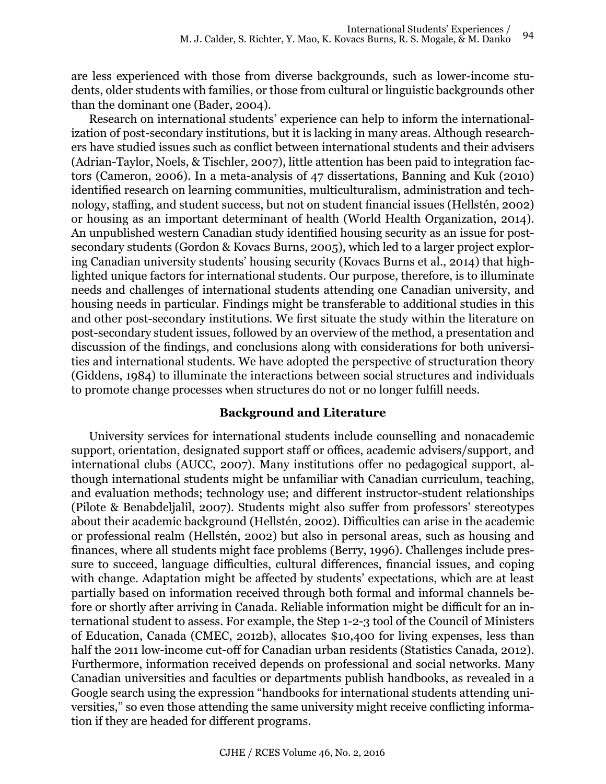are less experienced with those from diverse backgrounds, such as lower-income students, older students with families, or those from cultural or linguistic backgrounds other than the dominant one (Bader, 2004).

Research on international students' experience can help to inform the internationalization of post-secondary institutions, but it is lacking in many areas. Although researchers have studied issues such as conflict between international students and their advisers (Adrian-Taylor, Noels, & Tischler, 2007), little attention has been paid to integration factors (Cameron, 2006). In a meta-analysis of 47 dissertations, Banning and Kuk (2010) identified research on learning communities, multiculturalism, administration and technology, staffing, and student success, but not on student financial issues (Hellstén, 2002) or housing as an important determinant of health (World Health Organization, 2014). An unpublished western Canadian study identified housing security as an issue for postsecondary students (Gordon & Kovacs Burns, 2005), which led to a larger project exploring Canadian university students' housing security (Kovacs Burns et al., 2014) that highlighted unique factors for international students. Our purpose, therefore, is to illuminate needs and challenges of international students attending one Canadian university, and housing needs in particular. Findings might be transferable to additional studies in this and other post-secondary institutions. We first situate the study within the literature on post-secondary student issues, followed by an overview of the method, a presentation and discussion of the findings, and conclusions along with considerations for both universities and international students. We have adopted the perspective of structuration theory (Giddens, 1984) to illuminate the interactions between social structures and individuals to promote change processes when structures do not or no longer fulfill needs.

### **Background and Literature**

University services for international students include counselling and nonacademic support, orientation, designated support staff or offices, academic advisers/support, and international clubs (AUCC, 2007). Many institutions offer no pedagogical support, although international students might be unfamiliar with Canadian curriculum, teaching, and evaluation methods; technology use; and different instructor-student relationships (Pilote & Benabdeljalil, 2007). Students might also suffer from professors' stereotypes about their academic background (Hellstén, 2002). Difficulties can arise in the academic or professional realm (Hellstén, 2002) but also in personal areas, such as housing and finances, where all students might face problems (Berry, 1996). Challenges include pressure to succeed, language difficulties, cultural differences, financial issues, and coping with change. Adaptation might be affected by students' expectations, which are at least partially based on information received through both formal and informal channels before or shortly after arriving in Canada. Reliable information might be difficult for an international student to assess. For example, the Step 1-2-3 tool of the Council of Ministers of Education, Canada (CMEC, 2012b), allocates \$10,400 for living expenses, less than half the 2011 low-income cut-off for Canadian urban residents (Statistics Canada, 2012). Furthermore, information received depends on professional and social networks. Many Canadian universities and faculties or departments publish handbooks, as revealed in a Google search using the expression "handbooks for international students attending universities," so even those attending the same university might receive conflicting information if they are headed for different programs.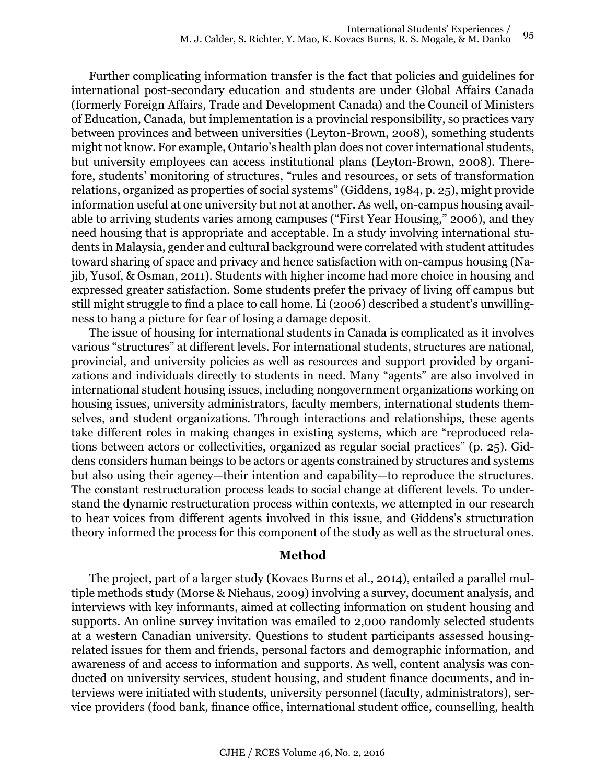Further complicating information transfer is the fact that policies and guidelines for international post-secondary education and students are under Global Affairs Canada (formerly Foreign Affairs, Trade and Development Canada) and the Council of Ministers of Education, Canada, but implementation is a provincial responsibility, so practices vary between provinces and between universities (Leyton-Brown, 2008), something students might not know. For example, Ontario's health plan does not cover international students, but university employees can access institutional plans (Leyton-Brown, 2008). Therefore, students' monitoring of structures, "rules and resources, or sets of transformation relations, organized as properties of social systems" (Giddens, 1984, p. 25), might provide information useful at one university but not at another. As well, on-campus housing available to arriving students varies among campuses ("First Year Housing," 2006), and they need housing that is appropriate and acceptable. In a study involving international students in Malaysia, gender and cultural background were correlated with student attitudes toward sharing of space and privacy and hence satisfaction with on-campus housing (Najib, Yusof, & Osman, 2011). Students with higher income had more choice in housing and expressed greater satisfaction. Some students prefer the privacy of living off campus but still might struggle to find a place to call home. Li (2006) described a student's unwillingness to hang a picture for fear of losing a damage deposit.

The issue of housing for international students in Canada is complicated as it involves various "structures" at different levels. For international students, structures are national, provincial, and university policies as well as resources and support provided by organizations and individuals directly to students in need. Many "agents" are also involved in international student housing issues, including nongovernment organizations working on housing issues, university administrators, faculty members, international students themselves, and student organizations. Through interactions and relationships, these agents take different roles in making changes in existing systems, which are "reproduced relations between actors or collectivities, organized as regular social practices" (p. 25). Giddens considers human beings to be actors or agents constrained by structures and systems but also using their agency—their intention and capability—to reproduce the structures. The constant restructuration process leads to social change at different levels. To understand the dynamic restructuration process within contexts, we attempted in our research to hear voices from different agents involved in this issue, and Giddens's structuration theory informed the process for this component of the study as well as the structural ones.

### **Method**

The project, part of a larger study (Kovacs Burns et al., 2014), entailed a parallel multiple methods study (Morse & Niehaus, 2009) involving a survey, document analysis, and interviews with key informants, aimed at collecting information on student housing and supports. An online survey invitation was emailed to 2,000 randomly selected students at a western Canadian university. Questions to student participants assessed housingrelated issues for them and friends, personal factors and demographic information, and awareness of and access to information and supports. As well, content analysis was conducted on university services, student housing, and student finance documents, and interviews were initiated with students, university personnel (faculty, administrators), service providers (food bank, finance office, international student office, counselling, health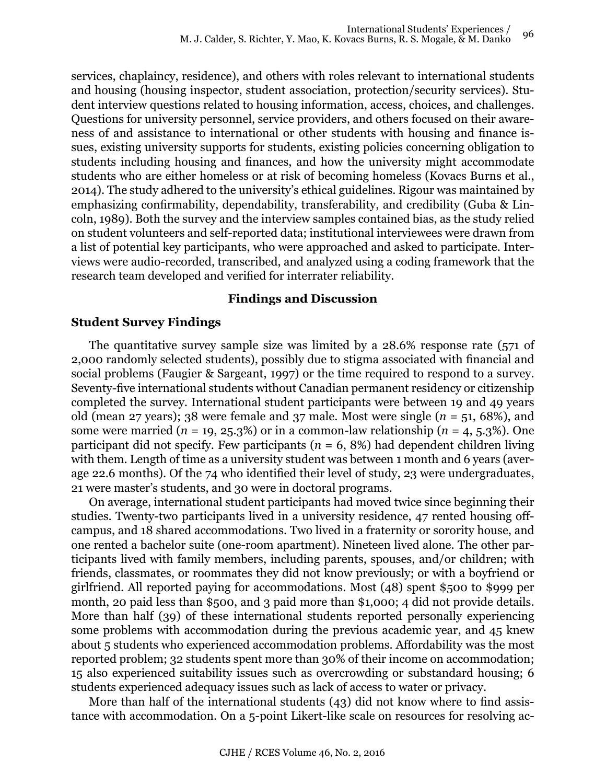services, chaplaincy, residence), and others with roles relevant to international students and housing (housing inspector, student association, protection/security services). Student interview questions related to housing information, access, choices, and challenges. Questions for university personnel, service providers, and others focused on their awareness of and assistance to international or other students with housing and finance issues, existing university supports for students, existing policies concerning obligation to students including housing and finances, and how the university might accommodate students who are either homeless or at risk of becoming homeless (Kovacs Burns et al., 2014). The study adhered to the university's ethical guidelines. Rigour was maintained by emphasizing confirmability, dependability, transferability, and credibility (Guba & Lincoln, 1989). Both the survey and the interview samples contained bias, as the study relied on student volunteers and self-reported data; institutional interviewees were drawn from a list of potential key participants, who were approached and asked to participate. Interviews were audio-recorded, transcribed, and analyzed using a coding framework that the research team developed and verified for interrater reliability.

### **Findings and Discussion**

#### **Student Survey Findings**

The quantitative survey sample size was limited by a 28.6% response rate (571 of 2,000 randomly selected students), possibly due to stigma associated with financial and social problems (Faugier & Sargeant, 1997) or the time required to respond to a survey. Seventy-five international students without Canadian permanent residency or citizenship completed the survey. International student participants were between 19 and 49 years old (mean 27 years); 38 were female and 37 male. Most were single  $(n = 51, 68\%)$ , and some were married  $(n = 19, 25.3\%)$  or in a common-law relationship  $(n = 4, 5.3\%)$ . One participant did not specify. Few participants  $(n = 6, 8\%)$  had dependent children living with them. Length of time as a university student was between 1 month and 6 years (average 22.6 months). Of the 74 who identified their level of study, 23 were undergraduates, 21 were master's students, and 30 were in doctoral programs.

On average, international student participants had moved twice since beginning their studies. Twenty-two participants lived in a university residence, 47 rented housing offcampus, and 18 shared accommodations. Two lived in a fraternity or sorority house, and one rented a bachelor suite (one-room apartment). Nineteen lived alone. The other participants lived with family members, including parents, spouses, and/or children; with friends, classmates, or roommates they did not know previously; or with a boyfriend or girlfriend. All reported paying for accommodations. Most (48) spent \$500 to \$999 per month, 20 paid less than \$500, and 3 paid more than \$1,000; 4 did not provide details. More than half (39) of these international students reported personally experiencing some problems with accommodation during the previous academic year, and 45 knew about 5 students who experienced accommodation problems. Affordability was the most reported problem; 32 students spent more than 30% of their income on accommodation; 15 also experienced suitability issues such as overcrowding or substandard housing; 6 students experienced adequacy issues such as lack of access to water or privacy.

More than half of the international students (43) did not know where to find assistance with accommodation. On a 5-point Likert-like scale on resources for resolving ac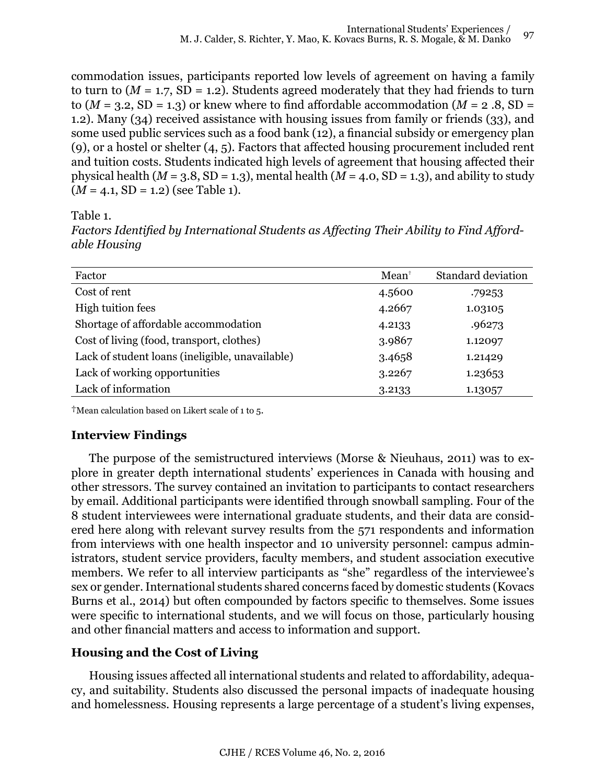commodation issues, participants reported low levels of agreement on having a family to turn to  $(M = 1.7, SD = 1.2)$ . Students agreed moderately that they had friends to turn to  $(M = 3.2, SD = 1.3)$  or knew where to find affordable accommodation  $(M = 2.8, SD =$ 1.2). Many (34) received assistance with housing issues from family or friends (33), and some used public services such as a food bank (12), a financial subsidy or emergency plan (9), or a hostel or shelter (4, 5). Factors that affected housing procurement included rent and tuition costs. Students indicated high levels of agreement that housing affected their physical health ( $M = 3.8$ , SD = 1.3), mental health ( $M = 4.0$ , SD = 1.3), and ability to study  $(M = 4.1, SD = 1.2)$  (see Table 1).

Table 1.

*Factors Identified by International Students as Affecting Their Ability to Find Affordable Housing*

| Factor                                          | $Mean^{\dagger}$ | <b>Standard deviation</b> |
|-------------------------------------------------|------------------|---------------------------|
| Cost of rent                                    | 4.5600           | .79253                    |
| High tuition fees                               | 4.2667           | 1.03105                   |
| Shortage of affordable accommodation            | 4.2133           | .96273                    |
| Cost of living (food, transport, clothes)       | 3.9867           | 1.12097                   |
| Lack of student loans (ineligible, unavailable) | 3.4658           | 1.21429                   |
| Lack of working opportunities                   | 3.2267           | 1.23653                   |
| Lack of information                             | 3.2133           | 1.13057                   |

†Mean calculation based on Likert scale of 1 to 5.

# **Interview Findings**

The purpose of the semistructured interviews (Morse & Nieuhaus, 2011) was to explore in greater depth international students' experiences in Canada with housing and other stressors. The survey contained an invitation to participants to contact researchers by email. Additional participants were identified through snowball sampling. Four of the 8 student interviewees were international graduate students, and their data are considered here along with relevant survey results from the 571 respondents and information from interviews with one health inspector and 10 university personnel: campus administrators, student service providers, faculty members, and student association executive members. We refer to all interview participants as "she" regardless of the interviewee's sex or gender. International students shared concerns faced by domestic students (Kovacs Burns et al., 2014) but often compounded by factors specific to themselves. Some issues were specific to international students, and we will focus on those, particularly housing and other financial matters and access to information and support.

# **Housing and the Cost of Living**

Housing issues affected all international students and related to affordability, adequacy, and suitability. Students also discussed the personal impacts of inadequate housing and homelessness. Housing represents a large percentage of a student's living expenses,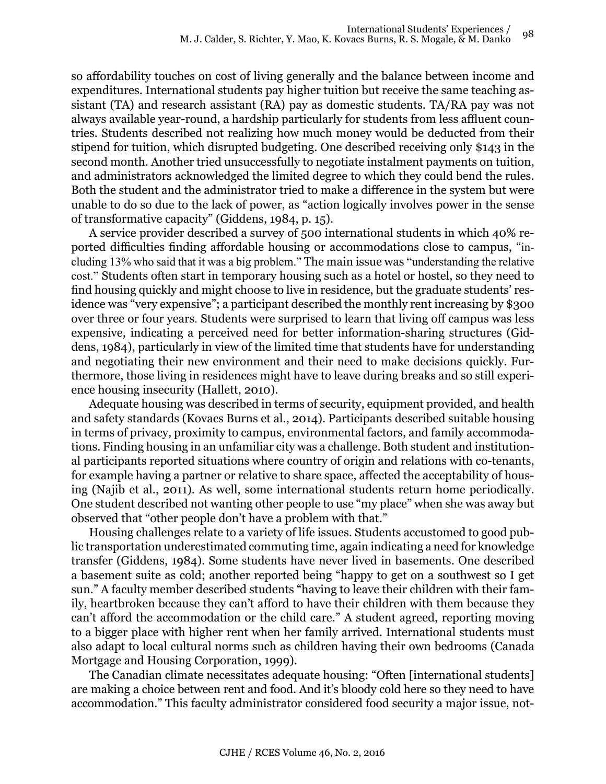so affordability touches on cost of living generally and the balance between income and expenditures. International students pay higher tuition but receive the same teaching assistant (TA) and research assistant (RA) pay as domestic students. TA/RA pay was not always available year-round, a hardship particularly for students from less affluent countries. Students described not realizing how much money would be deducted from their stipend for tuition, which disrupted budgeting. One described receiving only \$143 in the second month. Another tried unsuccessfully to negotiate instalment payments on tuition, and administrators acknowledged the limited degree to which they could bend the rules. Both the student and the administrator tried to make a difference in the system but were unable to do so due to the lack of power, as "action logically involves power in the sense of transformative capacity" (Giddens, 1984, p. 15).

A service provider described a survey of 500 international students in which 40% reported difficulties finding affordable housing or accommodations close to campus, "including 13% who said that it was a big problem." The main issue was "understanding the relative cost." Students often start in temporary housing such as a hotel or hostel, so they need to find housing quickly and might choose to live in residence, but the graduate students' residence was "very expensive"; a participant described the monthly rent increasing by \$300 over three or four years. Students were surprised to learn that living off campus was less expensive, indicating a perceived need for better information-sharing structures (Giddens, 1984), particularly in view of the limited time that students have for understanding and negotiating their new environment and their need to make decisions quickly. Furthermore, those living in residences might have to leave during breaks and so still experience housing insecurity (Hallett, 2010).

Adequate housing was described in terms of security, equipment provided, and health and safety standards (Kovacs Burns et al., 2014). Participants described suitable housing in terms of privacy, proximity to campus, environmental factors, and family accommodations. Finding housing in an unfamiliar city was a challenge. Both student and institutional participants reported situations where country of origin and relations with co-tenants, for example having a partner or relative to share space, affected the acceptability of housing (Najib et al., 2011). As well, some international students return home periodically. One student described not wanting other people to use "my place" when she was away but observed that "other people don't have a problem with that."

Housing challenges relate to a variety of life issues. Students accustomed to good public transportation underestimated commuting time, again indicating a need for knowledge transfer (Giddens, 1984). Some students have never lived in basements. One described a basement suite as cold; another reported being "happy to get on a southwest so I get sun." A faculty member described students "having to leave their children with their family, heartbroken because they can't afford to have their children with them because they can't afford the accommodation or the child care." A student agreed, reporting moving to a bigger place with higher rent when her family arrived. International students must also adapt to local cultural norms such as children having their own bedrooms (Canada Mortgage and Housing Corporation, 1999).

The Canadian climate necessitates adequate housing: "Often [international students] are making a choice between rent and food. And it's bloody cold here so they need to have accommodation." This faculty administrator considered food security a major issue, not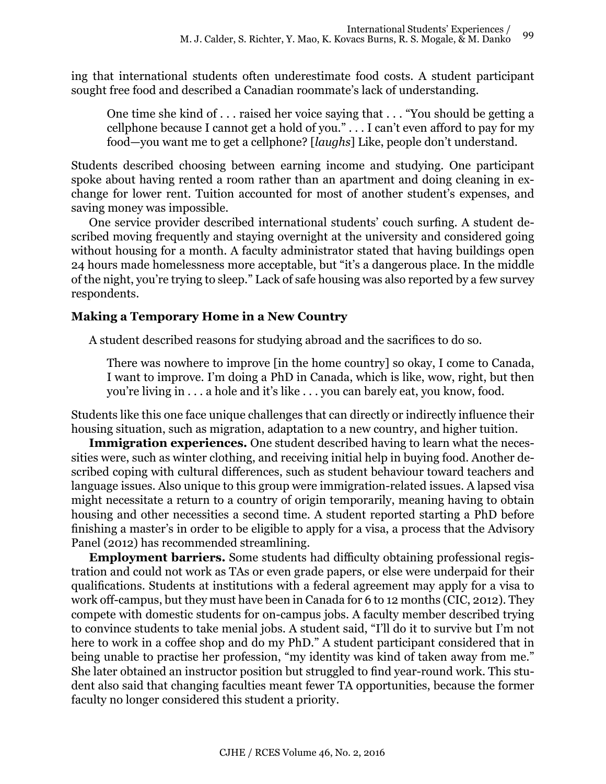ing that international students often underestimate food costs. A student participant sought free food and described a Canadian roommate's lack of understanding.

One time she kind of . . . raised her voice saying that . . . "You should be getting a cellphone because I cannot get a hold of you." . . . I can't even afford to pay for my food—you want me to get a cellphone? [*laughs*] Like, people don't understand.

Students described choosing between earning income and studying. One participant spoke about having rented a room rather than an apartment and doing cleaning in exchange for lower rent. Tuition accounted for most of another student's expenses, and saving money was impossible.

One service provider described international students' couch surfing. A student described moving frequently and staying overnight at the university and considered going without housing for a month. A faculty administrator stated that having buildings open 24 hours made homelessness more acceptable, but "it's a dangerous place. In the middle of the night, you're trying to sleep." Lack of safe housing was also reported by a few survey respondents.

# **Making a Temporary Home in a New Country**

A student described reasons for studying abroad and the sacrifices to do so.

There was nowhere to improve [in the home country] so okay, I come to Canada, I want to improve. I'm doing a PhD in Canada, which is like, wow, right, but then you're living in . . . a hole and it's like . . . you can barely eat, you know, food.

Students like this one face unique challenges that can directly or indirectly influence their housing situation, such as migration, adaptation to a new country, and higher tuition.

**Immigration experiences.** One student described having to learn what the necessities were, such as winter clothing, and receiving initial help in buying food. Another described coping with cultural differences, such as student behaviour toward teachers and language issues. Also unique to this group were immigration-related issues. A lapsed visa might necessitate a return to a country of origin temporarily, meaning having to obtain housing and other necessities a second time. A student reported starting a PhD before finishing a master's in order to be eligible to apply for a visa, a process that the Advisory Panel (2012) has recommended streamlining.

**Employment barriers.** Some students had difficulty obtaining professional registration and could not work as TAs or even grade papers, or else were underpaid for their qualifications. Students at institutions with a federal agreement may apply for a visa to work off-campus, but they must have been in Canada for 6 to 12 months (CIC, 2012). They compete with domestic students for on-campus jobs. A faculty member described trying to convince students to take menial jobs. A student said, "I'll do it to survive but I'm not here to work in a coffee shop and do my PhD." A student participant considered that in being unable to practise her profession, "my identity was kind of taken away from me." She later obtained an instructor position but struggled to find year-round work. This student also said that changing faculties meant fewer TA opportunities, because the former faculty no longer considered this student a priority.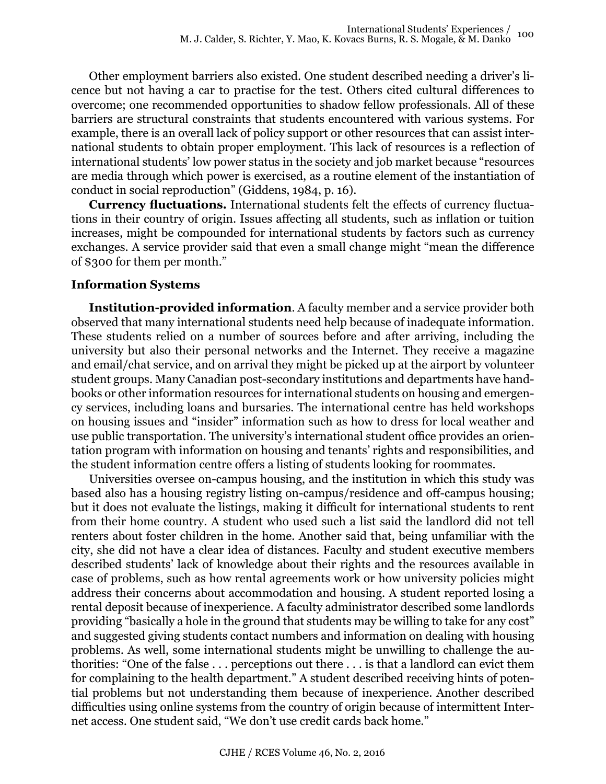Other employment barriers also existed. One student described needing a driver's licence but not having a car to practise for the test. Others cited cultural differences to overcome; one recommended opportunities to shadow fellow professionals. All of these barriers are structural constraints that students encountered with various systems. For example, there is an overall lack of policy support or other resources that can assist international students to obtain proper employment. This lack of resources is a reflection of international students' low power status in the society and job market because "resources are media through which power is exercised, as a routine element of the instantiation of conduct in social reproduction" (Giddens, 1984, p. 16).

**Currency fluctuations.** International students felt the effects of currency fluctuations in their country of origin. Issues affecting all students, such as inflation or tuition increases, might be compounded for international students by factors such as currency exchanges. A service provider said that even a small change might "mean the difference of \$300 for them per month."

# **Information Systems**

**Institution-provided information**. A faculty member and a service provider both observed that many international students need help because of inadequate information. These students relied on a number of sources before and after arriving, including the university but also their personal networks and the Internet. They receive a magazine and email/chat service, and on arrival they might be picked up at the airport by volunteer student groups. Many Canadian post-secondary institutions and departments have handbooks or other information resources for international students on housing and emergency services, including loans and bursaries. The international centre has held workshops on housing issues and "insider" information such as how to dress for local weather and use public transportation. The university's international student office provides an orientation program with information on housing and tenants' rights and responsibilities, and the student information centre offers a listing of students looking for roommates.

Universities oversee on-campus housing, and the institution in which this study was based also has a housing registry listing on-campus/residence and off-campus housing; but it does not evaluate the listings, making it difficult for international students to rent from their home country. A student who used such a list said the landlord did not tell renters about foster children in the home. Another said that, being unfamiliar with the city, she did not have a clear idea of distances. Faculty and student executive members described students' lack of knowledge about their rights and the resources available in case of problems, such as how rental agreements work or how university policies might address their concerns about accommodation and housing. A student reported losing a rental deposit because of inexperience. A faculty administrator described some landlords providing "basically a hole in the ground that students may be willing to take for any cost" and suggested giving students contact numbers and information on dealing with housing problems. As well, some international students might be unwilling to challenge the authorities: "One of the false . . . perceptions out there . . . is that a landlord can evict them for complaining to the health department." A student described receiving hints of potential problems but not understanding them because of inexperience. Another described difficulties using online systems from the country of origin because of intermittent Internet access. One student said, "We don't use credit cards back home."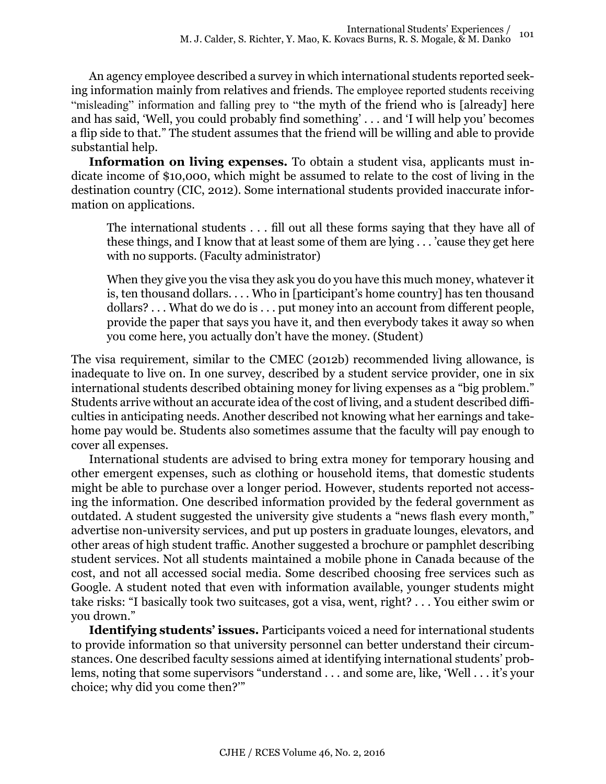An agency employee described a survey in which international students reported seeking information mainly from relatives and friends. The employee reported students receiving "misleading" information and falling prey to "the myth of the friend who is [already] here and has said, 'Well, you could probably find something' . . . and 'I will help you' becomes a flip side to that." The student assumes that the friend will be willing and able to provide substantial help.

**Information on living expenses.** To obtain a student visa, applicants must indicate income of \$10,000, which might be assumed to relate to the cost of living in the destination country (CIC, 2012). Some international students provided inaccurate information on applications.

The international students . . . fill out all these forms saying that they have all of these things, and I know that at least some of them are lying . . . 'cause they get here with no supports. (Faculty administrator)

When they give you the visa they ask you do you have this much money, whatever it is, ten thousand dollars. . . . Who in [participant's home country] has ten thousand dollars? . . . What do we do is . . . put money into an account from different people, provide the paper that says you have it, and then everybody takes it away so when you come here, you actually don't have the money. (Student)

The visa requirement, similar to the CMEC (2012b) recommended living allowance, is inadequate to live on. In one survey, described by a student service provider, one in six international students described obtaining money for living expenses as a "big problem." Students arrive without an accurate idea of the cost of living, and a student described difficulties in anticipating needs. Another described not knowing what her earnings and takehome pay would be. Students also sometimes assume that the faculty will pay enough to cover all expenses.

International students are advised to bring extra money for temporary housing and other emergent expenses, such as clothing or household items, that domestic students might be able to purchase over a longer period. However, students reported not accessing the information. One described information provided by the federal government as outdated. A student suggested the university give students a "news flash every month," advertise non-university services, and put up posters in graduate lounges, elevators, and other areas of high student traffic. Another suggested a brochure or pamphlet describing student services. Not all students maintained a mobile phone in Canada because of the cost, and not all accessed social media. Some described choosing free services such as Google. A student noted that even with information available, younger students might take risks: "I basically took two suitcases, got a visa, went, right? . . . You either swim or you drown."

**Identifying students' issues.** Participants voiced a need for international students to provide information so that university personnel can better understand their circumstances. One described faculty sessions aimed at identifying international students' problems, noting that some supervisors "understand . . . and some are, like, 'Well . . . it's your choice; why did you come then?'"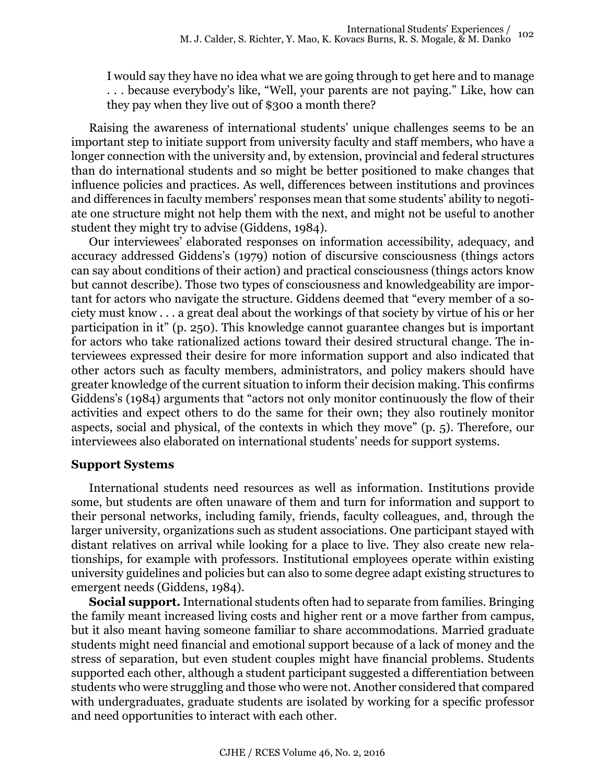I would say they have no idea what we are going through to get here and to manage . . . because everybody's like, "Well, your parents are not paying." Like, how can they pay when they live out of \$300 a month there?

Raising the awareness of international students' unique challenges seems to be an important step to initiate support from university faculty and staff members, who have a longer connection with the university and, by extension, provincial and federal structures than do international students and so might be better positioned to make changes that influence policies and practices. As well, differences between institutions and provinces and differences in faculty members' responses mean that some students' ability to negotiate one structure might not help them with the next, and might not be useful to another student they might try to advise (Giddens, 1984).

Our interviewees' elaborated responses on information accessibility, adequacy, and accuracy addressed Giddens's (1979) notion of discursive consciousness (things actors can say about conditions of their action) and practical consciousness (things actors know but cannot describe). Those two types of consciousness and knowledgeability are important for actors who navigate the structure. Giddens deemed that "every member of a society must know . . . a great deal about the workings of that society by virtue of his or her participation in it" (p. 250). This knowledge cannot guarantee changes but is important for actors who take rationalized actions toward their desired structural change. The interviewees expressed their desire for more information support and also indicated that other actors such as faculty members, administrators, and policy makers should have greater knowledge of the current situation to inform their decision making. This confirms Giddens's (1984) arguments that "actors not only monitor continuously the flow of their activities and expect others to do the same for their own; they also routinely monitor aspects, social and physical, of the contexts in which they move" (p. 5). Therefore, our interviewees also elaborated on international students' needs for support systems.

### **Support Systems**

International students need resources as well as information. Institutions provide some, but students are often unaware of them and turn for information and support to their personal networks, including family, friends, faculty colleagues, and, through the larger university, organizations such as student associations. One participant stayed with distant relatives on arrival while looking for a place to live. They also create new relationships, for example with professors. Institutional employees operate within existing university guidelines and policies but can also to some degree adapt existing structures to emergent needs (Giddens, 1984).

**Social support.** International students often had to separate from families. Bringing the family meant increased living costs and higher rent or a move farther from campus, but it also meant having someone familiar to share accommodations. Married graduate students might need financial and emotional support because of a lack of money and the stress of separation, but even student couples might have financial problems. Students supported each other, although a student participant suggested a differentiation between students who were struggling and those who were not. Another considered that compared with undergraduates, graduate students are isolated by working for a specific professor and need opportunities to interact with each other.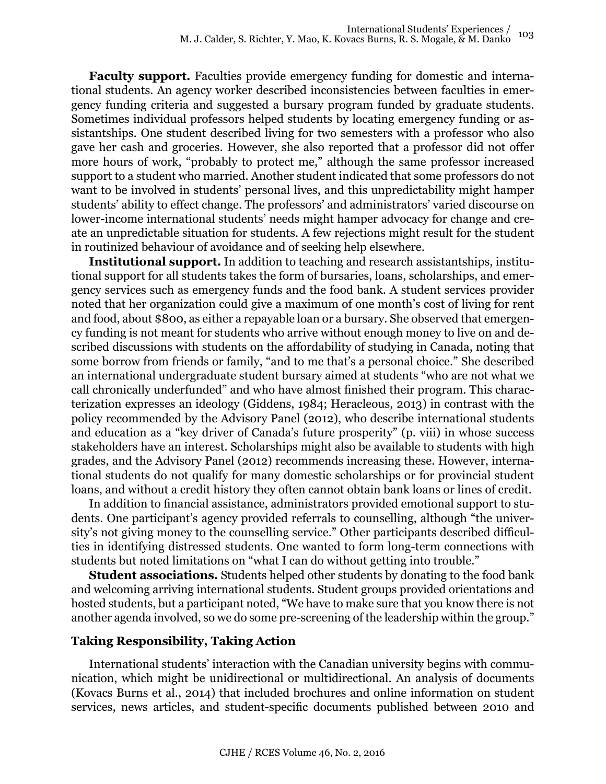**Faculty support.** Faculties provide emergency funding for domestic and international students. An agency worker described inconsistencies between faculties in emergency funding criteria and suggested a bursary program funded by graduate students. Sometimes individual professors helped students by locating emergency funding or assistantships. One student described living for two semesters with a professor who also gave her cash and groceries. However, she also reported that a professor did not offer more hours of work, "probably to protect me," although the same professor increased support to a student who married. Another student indicated that some professors do not want to be involved in students' personal lives, and this unpredictability might hamper students' ability to effect change. The professors' and administrators' varied discourse on lower-income international students' needs might hamper advocacy for change and create an unpredictable situation for students. A few rejections might result for the student in routinized behaviour of avoidance and of seeking help elsewhere.

**Institutional support.** In addition to teaching and research assistantships, institutional support for all students takes the form of bursaries, loans, scholarships, and emergency services such as emergency funds and the food bank. A student services provider noted that her organization could give a maximum of one month's cost of living for rent and food, about \$800, as either a repayable loan or a bursary. She observed that emergency funding is not meant for students who arrive without enough money to live on and described discussions with students on the affordability of studying in Canada, noting that some borrow from friends or family, "and to me that's a personal choice." She described an international undergraduate student bursary aimed at students "who are not what we call chronically underfunded" and who have almost finished their program. This characterization expresses an ideology (Giddens, 1984; Heracleous, 2013) in contrast with the policy recommended by the Advisory Panel (2012), who describe international students and education as a "key driver of Canada's future prosperity" (p. viii) in whose success stakeholders have an interest. Scholarships might also be available to students with high grades, and the Advisory Panel (2012) recommends increasing these. However, international students do not qualify for many domestic scholarships or for provincial student loans, and without a credit history they often cannot obtain bank loans or lines of credit.

In addition to financial assistance, administrators provided emotional support to students. One participant's agency provided referrals to counselling, although "the university's not giving money to the counselling service." Other participants described difficulties in identifying distressed students. One wanted to form long-term connections with students but noted limitations on "what I can do without getting into trouble."

**Student associations.** Students helped other students by donating to the food bank and welcoming arriving international students. Student groups provided orientations and hosted students, but a participant noted, "We have to make sure that you know there is not another agenda involved, so we do some pre-screening of the leadership within the group."

## **Taking Responsibility, Taking Action**

International students' interaction with the Canadian university begins with communication, which might be unidirectional or multidirectional. An analysis of documents (Kovacs Burns et al., 2014) that included brochures and online information on student services, news articles, and student-specific documents published between 2010 and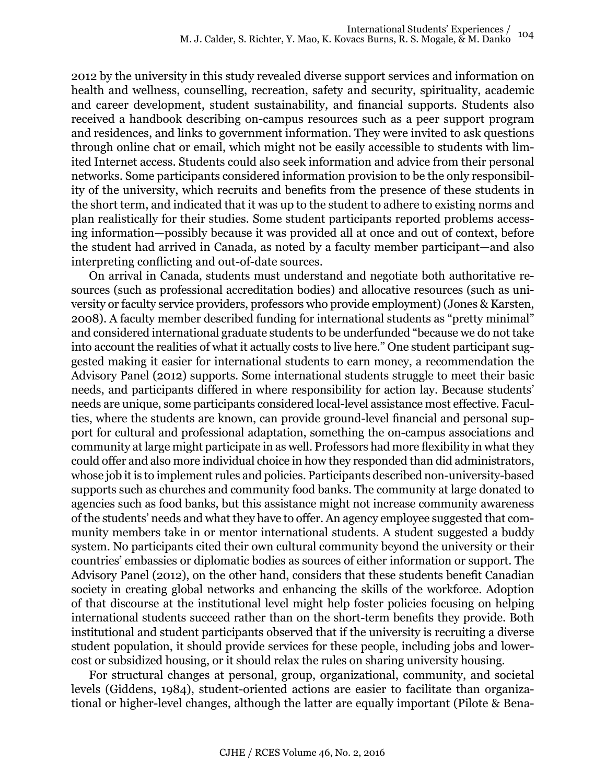2012 by the university in this study revealed diverse support services and information on health and wellness, counselling, recreation, safety and security, spirituality, academic and career development, student sustainability, and financial supports. Students also received a handbook describing on-campus resources such as a peer support program and residences, and links to government information. They were invited to ask questions through online chat or email, which might not be easily accessible to students with limited Internet access. Students could also seek information and advice from their personal networks. Some participants considered information provision to be the only responsibility of the university, which recruits and benefits from the presence of these students in the short term, and indicated that it was up to the student to adhere to existing norms and plan realistically for their studies. Some student participants reported problems accessing information—possibly because it was provided all at once and out of context, before the student had arrived in Canada, as noted by a faculty member participant—and also interpreting conflicting and out-of-date sources.

On arrival in Canada, students must understand and negotiate both authoritative resources (such as professional accreditation bodies) and allocative resources (such as university or faculty service providers, professors who provide employment) (Jones & Karsten, 2008). A faculty member described funding for international students as "pretty minimal" and considered international graduate students to be underfunded "because we do not take into account the realities of what it actually costs to live here." One student participant suggested making it easier for international students to earn money, a recommendation the Advisory Panel (2012) supports. Some international students struggle to meet their basic needs, and participants differed in where responsibility for action lay. Because students' needs are unique, some participants considered local-level assistance most effective. Faculties, where the students are known, can provide ground-level financial and personal support for cultural and professional adaptation, something the on-campus associations and community at large might participate in as well. Professors had more flexibility in what they could offer and also more individual choice in how they responded than did administrators, whose job it is to implement rules and policies. Participants described non-university-based supports such as churches and community food banks. The community at large donated to agencies such as food banks, but this assistance might not increase community awareness of the students' needs and what they have to offer. An agency employee suggested that community members take in or mentor international students. A student suggested a buddy system. No participants cited their own cultural community beyond the university or their countries' embassies or diplomatic bodies as sources of either information or support. The Advisory Panel (2012), on the other hand, considers that these students benefit Canadian society in creating global networks and enhancing the skills of the workforce. Adoption of that discourse at the institutional level might help foster policies focusing on helping international students succeed rather than on the short-term benefits they provide. Both institutional and student participants observed that if the university is recruiting a diverse student population, it should provide services for these people, including jobs and lowercost or subsidized housing, or it should relax the rules on sharing university housing.

For structural changes at personal, group, organizational, community, and societal levels (Giddens, 1984), student-oriented actions are easier to facilitate than organizational or higher-level changes, although the latter are equally important (Pilote & Bena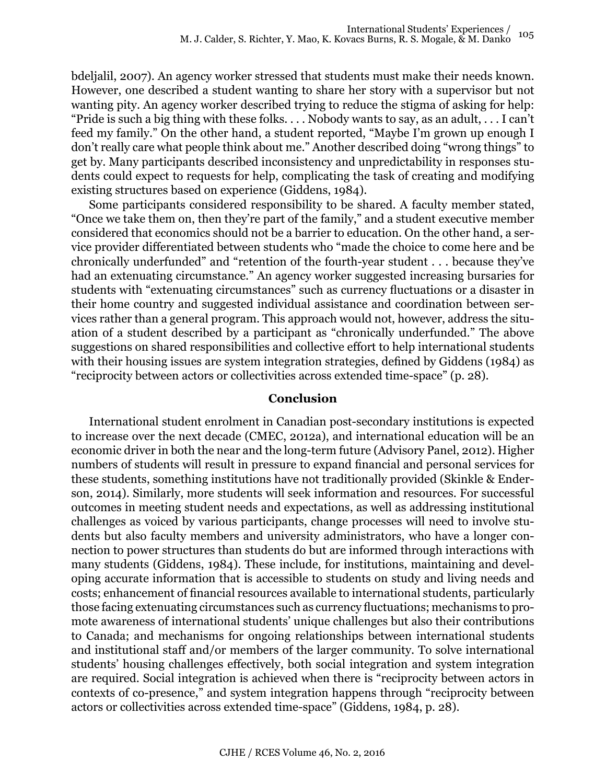bdeljalil, 2007). An agency worker stressed that students must make their needs known. However, one described a student wanting to share her story with a supervisor but not wanting pity. An agency worker described trying to reduce the stigma of asking for help: "Pride is such a big thing with these folks. . . . Nobody wants to say, as an adult, . . . I can't feed my family." On the other hand, a student reported, "Maybe I'm grown up enough I don't really care what people think about me." Another described doing "wrong things" to get by. Many participants described inconsistency and unpredictability in responses students could expect to requests for help, complicating the task of creating and modifying existing structures based on experience (Giddens, 1984).

Some participants considered responsibility to be shared. A faculty member stated, "Once we take them on, then they're part of the family," and a student executive member considered that economics should not be a barrier to education. On the other hand, a service provider differentiated between students who "made the choice to come here and be chronically underfunded" and "retention of the fourth-year student . . . because they've had an extenuating circumstance." An agency worker suggested increasing bursaries for students with "extenuating circumstances" such as currency fluctuations or a disaster in their home country and suggested individual assistance and coordination between services rather than a general program. This approach would not, however, address the situation of a student described by a participant as "chronically underfunded." The above suggestions on shared responsibilities and collective effort to help international students with their housing issues are system integration strategies, defined by Giddens (1984) as "reciprocity between actors or collectivities across extended time-space" (p. 28).

## **Conclusion**

International student enrolment in Canadian post-secondary institutions is expected to increase over the next decade (CMEC, 2012a), and international education will be an economic driver in both the near and the long-term future (Advisory Panel, 2012). Higher numbers of students will result in pressure to expand financial and personal services for these students, something institutions have not traditionally provided (Skinkle & Enderson, 2014). Similarly, more students will seek information and resources. For successful outcomes in meeting student needs and expectations, as well as addressing institutional challenges as voiced by various participants, change processes will need to involve students but also faculty members and university administrators, who have a longer connection to power structures than students do but are informed through interactions with many students (Giddens, 1984). These include, for institutions, maintaining and developing accurate information that is accessible to students on study and living needs and costs; enhancement of financial resources available to international students, particularly those facing extenuating circumstances such as currency fluctuations; mechanisms to promote awareness of international students' unique challenges but also their contributions to Canada; and mechanisms for ongoing relationships between international students and institutional staff and/or members of the larger community. To solve international students' housing challenges effectively, both social integration and system integration are required. Social integration is achieved when there is "reciprocity between actors in contexts of co-presence," and system integration happens through "reciprocity between actors or collectivities across extended time-space" (Giddens, 1984, p. 28).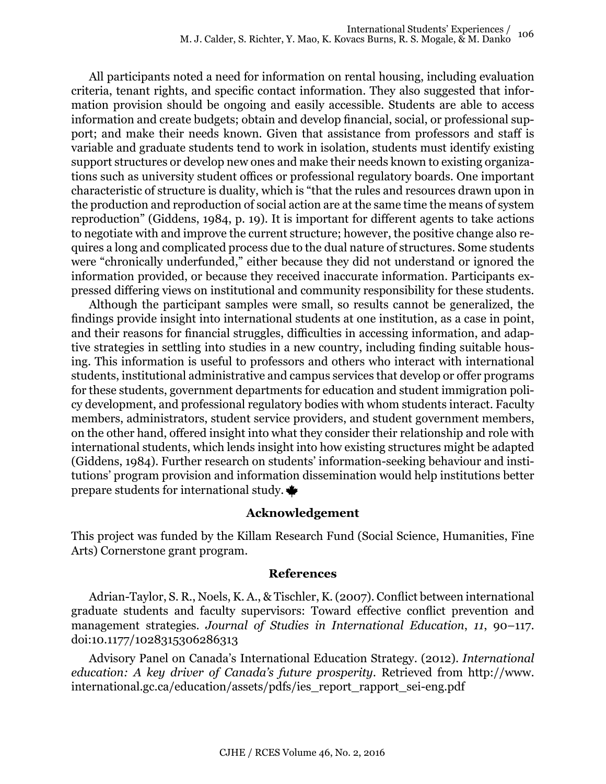All participants noted a need for information on rental housing, including evaluation criteria, tenant rights, and specific contact information. They also suggested that information provision should be ongoing and easily accessible. Students are able to access information and create budgets; obtain and develop financial, social, or professional support; and make their needs known. Given that assistance from professors and staff is variable and graduate students tend to work in isolation, students must identify existing support structures or develop new ones and make their needs known to existing organizations such as university student offices or professional regulatory boards. One important characteristic of structure is duality, which is "that the rules and resources drawn upon in the production and reproduction of social action are at the same time the means of system reproduction" (Giddens, 1984, p. 19). It is important for different agents to take actions to negotiate with and improve the current structure; however, the positive change also requires a long and complicated process due to the dual nature of structures. Some students were "chronically underfunded," either because they did not understand or ignored the information provided, or because they received inaccurate information. Participants expressed differing views on institutional and community responsibility for these students.

Although the participant samples were small, so results cannot be generalized, the findings provide insight into international students at one institution, as a case in point, and their reasons for financial struggles, difficulties in accessing information, and adaptive strategies in settling into studies in a new country, including finding suitable housing. This information is useful to professors and others who interact with international students, institutional administrative and campus services that develop or offer programs for these students, government departments for education and student immigration policy development, and professional regulatory bodies with whom students interact. Faculty members, administrators, student service providers, and student government members, on the other hand, offered insight into what they consider their relationship and role with international students, which lends insight into how existing structures might be adapted (Giddens, 1984). Further research on students' information-seeking behaviour and institutions' program provision and information dissemination would help institutions better prepare students for international study.

## **Acknowledgement**

This project was funded by the Killam Research Fund (Social Science, Humanities, Fine Arts) Cornerstone grant program.

### **References**

Adrian-Taylor, S. R., Noels, K. A., & Tischler, K. (2007). Conflict between international graduate students and faculty supervisors: Toward effective conflict prevention and management strategies. *Journal of Studies in International Education*, *11*, 90–117. doi:10.1177/1028315306286313

Advisory Panel on Canada's International Education Strategy. (2012). *International education: A key driver of Canada's future prosperity*. Retrieved from http://www. international.gc.ca/education/assets/pdfs/ies\_report\_rapport\_sei-eng.pdf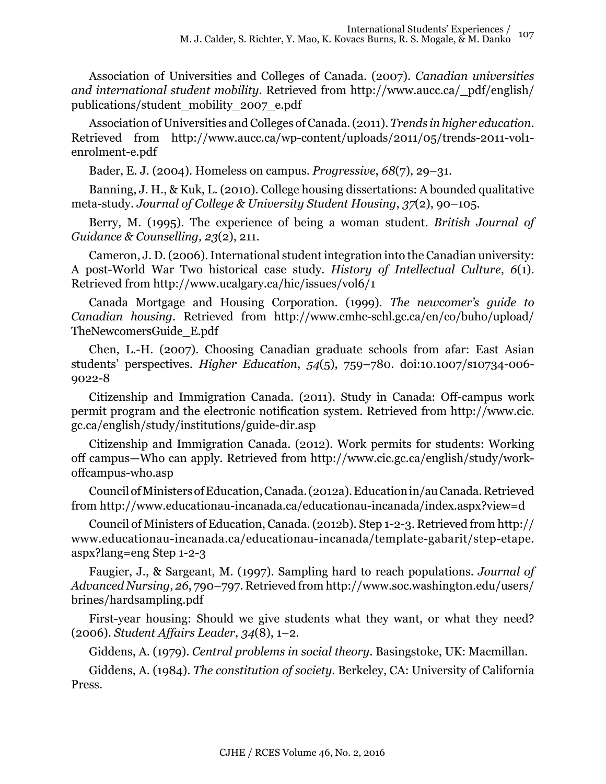Association of Universities and Colleges of Canada. (2007). *Canadian universities and international student mobility*. Retrieved from [http://www.aucc.ca/\\_pdf/english/](http://www.aucc.ca/_pdf/english/publications/student_mobility_2007_e.pdf) [publications/student\\_mobility\\_2007\\_e.pdf](http://www.aucc.ca/_pdf/english/publications/student_mobility_2007_e.pdf)

Association of Universities and Colleges of Canada. (2011). *Trends in higher education*. Retrieved from http://www.aucc.ca/wp-content/uploads/2011/05/trends-2011-vol1 enrolment-e.pdf

Bader, E. J. (2004). Homeless on campus. *Progressive*, *68*(7), 29–31.

Banning, J. H., & Kuk, L. (2010). College housing dissertations: A bounded qualitative meta-study. *Journal of College & University Student Housing*, *37*(2), 90–105.

Berry, M. (1995). The experience of being a woman student. *British Journal of Guidance & Counselling, 23*(2), 211.

Cameron, J. D. (2006). International student integration into the Canadian university: A post-World War Two historical case study. *History of Intellectual Culture*, *6*(1). Retrieved from <http://www.ucalgary.ca/hic/issues/vol6/1>

Canada Mortgage and Housing Corporation. (1999). *The newcomer's guide to Canadian housing*. Retrieved from http://www.cmhc-schl.gc.ca/en/co/buho/upload/ TheNewcomersGuide\_E.pdf

Chen, L.-H. (2007). Choosing Canadian graduate schools from afar: East Asian students' perspectives. *Higher Education*, *54*(5), 759–780. doi:10.1007/s10734-006- 9022-8

Citizenship and Immigration Canada. (2011). Study in Canada: Off-campus work permit program and the electronic notification system*.* Retrieved from http://www.cic. gc.ca/english/study/institutions/guide-dir.asp

Citizenship and Immigration Canada. (2012). Work permits for students: Working off campus—Who can apply*.* Retrieved from http://www.cic.gc.ca/english/study/workoffcampus-who.asp

Council of Ministers of Education, Canada. (2012a). Education in/au Canada. Retrieved from http://www.educationau-incanada.ca/educationau-incanada/index.aspx?view=d

Council of Ministers of Education, Canada. (2012b). Step 1-2-3. Retrieved from http:// www.educationau-incanada.ca/educationau-incanada/template-gabarit/step-etape. aspx?lang=eng Step 1-2-3

Faugier, J., & Sargeant, M. (1997). Sampling hard to reach populations. *Journal of Advanced Nursing*, *26*, 790–797. Retrieved from http://www.soc.washington.edu/users/ brines/hardsampling.pdf

First-year housing: Should we give students what they want, or what they need? (2006). *Student Affairs Leader*, *34*(8), 1–2.

Giddens, A. (1979). *Central problems in social theory*. Basingstoke, UK: Macmillan.

Giddens, A. (1984). *The constitution of society.* Berkeley, CA: University of California Press.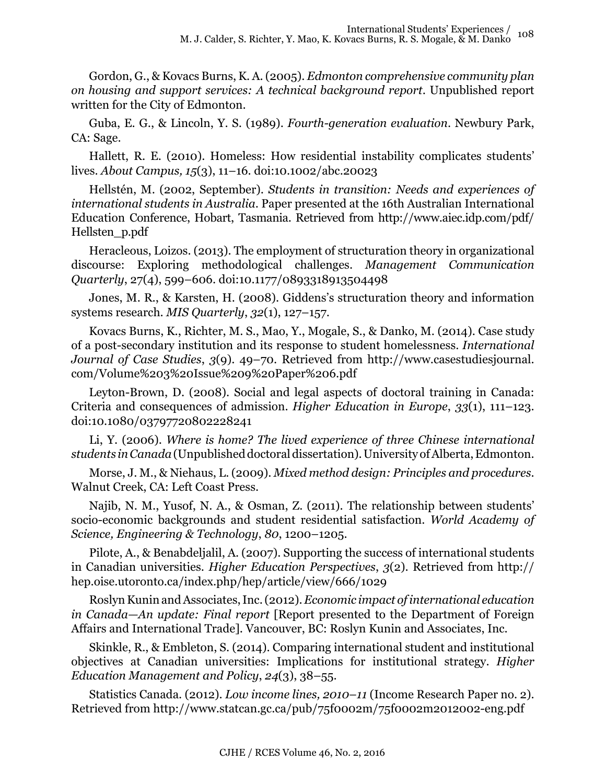Gordon, G., & Kovacs Burns, K. A. (2005). *Edmonton comprehensive community plan on housing and support services: A technical background report*. Unpublished report written for the City of Edmonton.

Guba, E. G., & Lincoln, Y. S. (1989). *Fourth-generation evaluation*. Newbury Park, CA: Sage.

Hallett, R. E. (2010). Homeless: How residential instability complicates students' lives. *About Campus, 15*(3), 11–16. doi:10.1002/abc.20023

Hellstén, M. (2002, September). *Students in transition: Needs and experiences of international students in Australia*. Paper presented at the 16th Australian International Education Conference, Hobart, Tasmania. Retrieved from [http://www.aiec.idp.com/pdf/](http://www.aiec.idp.com/pdf/Hellsten_p.pdf) [Hellsten\\_p.pdf](http://www.aiec.idp.com/pdf/Hellsten_p.pdf)

Heracleous, Loizos. (2013). The employment of structuration theory in organizational discourse: Exploring methodological challenges. *Management Communication Quarterly*, 27(4), 599–606. doi:10.1177/0893318913504498

Jones, M. R., & Karsten, H. (2008). Giddens's structuration theory and information systems research. *MIS Quarterly*, *32*(1), 127–157.

Kovacs Burns, K., Richter, M. S., Mao, Y., Mogale, S., & Danko, M. (2014). Case study of a post-secondary institution and its response to student homelessness. *International Journal of Case Studies*, *3*(9). 49–70. Retrieved from http://www.casestudiesjournal. com/Volume%203%20Issue%209%20Paper%206.pdf

Leyton-Brown, D. (2008). Social and legal aspects of doctoral training in Canada: Criteria and consequences of admission. *Higher Education in Europe*, *33*(1), 111–123. doi:10.1080/03797720802228241

Li, Y. (2006). *Where is home? The lived experience of three Chinese international students in Canada* (Unpublished doctoral dissertation). University of Alberta, Edmonton.

Morse, J. M., & Niehaus, L. (2009). *Mixed method design: Principles and procedures*. Walnut Creek, CA: Left Coast Press.

Najib, N. M., Yusof, N. A., & Osman, Z. (2011). The relationship between students' socio-economic backgrounds and student residential satisfaction. *World Academy of Science, Engineering & Technology*, *80*, 1200–1205.

Pilote, A., & Benabdeljalil, A. (2007). Supporting the success of international students in Canadian universities. *Higher Education Perspectives*, *3*(2). Retrieved from [http://](http://hep.oise.utoronto.ca/index.php/hep/article/view/666/1029) [hep.oise.utoronto.ca/index.php/hep/article/view/666/1029](http://hep.oise.utoronto.ca/index.php/hep/article/view/666/1029)

Roslyn Kunin and Associates, Inc. (2012). *Economic impact of international education in Canada—An update: Final report* [Report presented to the Department of Foreign Affairs and International Trade]. Vancouver, BC: Roslyn Kunin and Associates, Inc.

Skinkle, R., & Embleton, S. (2014). Comparing international student and institutional objectives at Canadian universities: Implications for institutional strategy. *Higher Education Management and Policy*, *24*(3), 38–55.

Statistics Canada. (2012). *Low income lines, 2010*–*11* (Income Research Paper no. 2). Retrieved from http://www.statcan.gc.ca/pub/75f0002m/75f0002m2012002-eng.pdf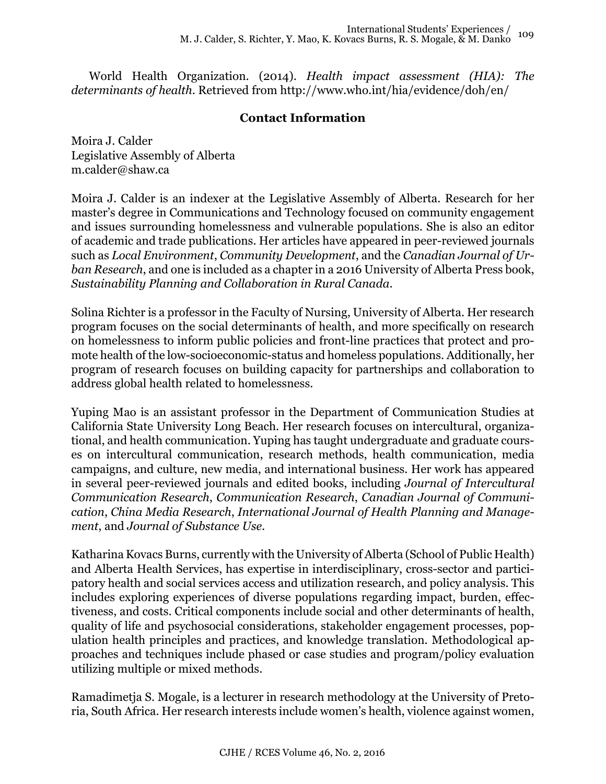World Health Organization. (2014). *Health impact assessment (HIA): The determinants of health*. Retrieved from http://www.who.int/hia/evidence/doh/en/

# **Contact Information**

Moira J. Calder Legislative Assembly of Alberta [m.calder@shaw.ca](mailto:m.calder@shaw.ca)

Moira J. Calder is an indexer at the Legislative Assembly of Alberta. Research for her master's degree in Communications and Technology focused on community engagement and issues surrounding homelessness and vulnerable populations. She is also an editor of academic and trade publications. Her articles have appeared in peer-reviewed journals such as *Local Environment*, *Community Development*, and the *Canadian Journal of Urban Research*, and one is included as a chapter in a 2016 University of Alberta Press book, *Sustainability Planning and Collaboration in Rural Canada*.

Solina Richter is a professor in the Faculty of Nursing, University of Alberta. Her research program focuses on the social determinants of health, and more specifically on research on homelessness to inform public policies and front-line practices that protect and promote health of the low-socioeconomic-status and homeless populations. Additionally, her program of research focuses on building capacity for partnerships and collaboration to address global health related to homelessness.

Yuping Mao is an assistant professor in the Department of Communication Studies at California State University Long Beach. Her research focuses on intercultural, organizational, and health communication. Yuping has taught undergraduate and graduate courses on intercultural communication, research methods, health communication, media campaigns, and culture, new media, and international business. Her work has appeared in several peer-reviewed journals and edited books, including *Journal of Intercultural Communication Research*, *Communication Research*, *Canadian Journal of Communication*, *China Media Research*, *International Journal of Health Planning and Management*, and *Journal of Substance Use.*

Katharina Kovacs Burns, currently with the University of Alberta (School of Public Health) and Alberta Health Services, has expertise in interdisciplinary, cross-sector and participatory health and social services access and utilization research, and policy analysis. This includes exploring experiences of diverse populations regarding impact, burden, effectiveness, and costs. Critical components include social and other determinants of health, quality of life and psychosocial considerations, stakeholder engagement processes, population health principles and practices, and knowledge translation. Methodological approaches and techniques include phased or case studies and program/policy evaluation utilizing multiple or mixed methods.

Ramadimetja S. Mogale, is a lecturer in research methodology at the University of Pretoria, South Africa. Her research interests include women's health, violence against women,